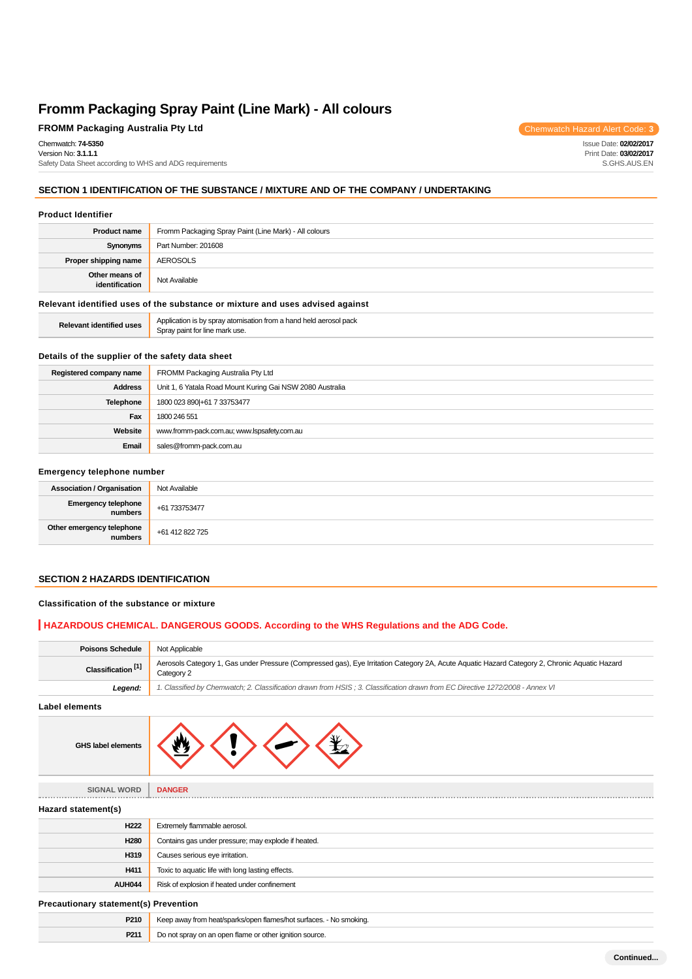# **FROMM Packaging Australia Pty Ltd** Chemwatch Hazard Alert Code: 3

Chemwatch: **74-5350** Version No: **3.1.1.1**

Safety Data Sheet according to WHS and ADG requirements

## **SECTION 1 IDENTIFICATION OF THE SUBSTANCE / MIXTURE AND OF THE COMPANY / UNDERTAKING**

#### **Product Identifier**

| <b>Product name</b>                                                           | Fromm Packaging Spray Paint (Line Mark) - All colours |  |
|-------------------------------------------------------------------------------|-------------------------------------------------------|--|
| Synonyms                                                                      | Part Number: 201608                                   |  |
| Proper shipping name                                                          | AEROSOLS                                              |  |
| Other means of<br>identification                                              | Not Available                                         |  |
| Relevant identified uses of the substance or mixture and uses advised against |                                                       |  |
|                                                                               |                                                       |  |

| $ -$<br>в.<br><b>1entitiec</b> | omisation.<br>$\Delta$ nr<br><b>Trom</b><br>31 JLC<br>1 Daun<br>шл<br>יוניטר<br>$\cdots$<br>$\cdots$<br>- The Mar<br>пагк |
|--------------------------------|---------------------------------------------------------------------------------------------------------------------------|
|                                |                                                                                                                           |

## **Details of the supplier of the safety data sheet**

| Registered company name | FROMM Packaging Australia Pty Ltd                         |  |
|-------------------------|-----------------------------------------------------------|--|
| <b>Address</b>          | Unit 1, 6 Yatala Road Mount Kuring Gai NSW 2080 Australia |  |
| <b>Telephone</b>        | 1800 023 890 + 61 7 33753477                              |  |
| Fax                     | 1800 246 551                                              |  |
| Website                 | www.fromm-pack.com.au; www.lspsafety.com.au               |  |
| Email                   | sales@fromm-pack.com.au                                   |  |

#### **Emergency telephone number**

| <b>Association / Organisation</b>    | Not Available   |
|--------------------------------------|-----------------|
| Emergency telephone<br>  numbers     | +61 733753477   |
| Other emergency telephone<br>numbers | +61 412 822 725 |

## **SECTION 2 HAZARDS IDENTIFICATION**

### **Classification of the substance or mixture**

## **HAZARDOUS CHEMICAL. DANGEROUS GOODS. According to the WHS Regulations and the ADG Code.**

| <b>Poisons Schedule</b>       | Not Applicable                                                                                                                                              |
|-------------------------------|-------------------------------------------------------------------------------------------------------------------------------------------------------------|
| Classification <sup>[1]</sup> | Aerosols Category 1, Gas under Pressure (Compressed gas), Eye Irritation Category 2A, Acute Aguatic Hazard Category 2, Chronic Aguatic Hazard<br>Category 2 |
| Leaend:                       | 1. Classified by Chemwatch; 2. Classification drawn from HSIS; 3. Classification drawn from EC Directive 1272/2008 - Annex VI                               |

**Label elements**

| GHS label elements |  |  |  |  |
|--------------------|--|--|--|--|
|--------------------|--|--|--|--|

**SIGNAL WORD DANGER Hazard statement(s) H222** Extremely flammable aerosol. **H280** Contains gas under pressure; may explode if heated. **H319** Causes serious eye irritation. **H411** Toxic to aquatic life with long lasting effects. **AUH044** Risk of explosion if heated under confinement **Precautionary statement(s) Prevention P210** Keep away from heat/sparks/open flames/hot surfaces. - No smoking. **P211** Do not spray on an open flame or other ignition source.

**Continued...**

Issue Date: **02/02/2017** Print Date: **03/02/2017** S.GHS.AUS.EN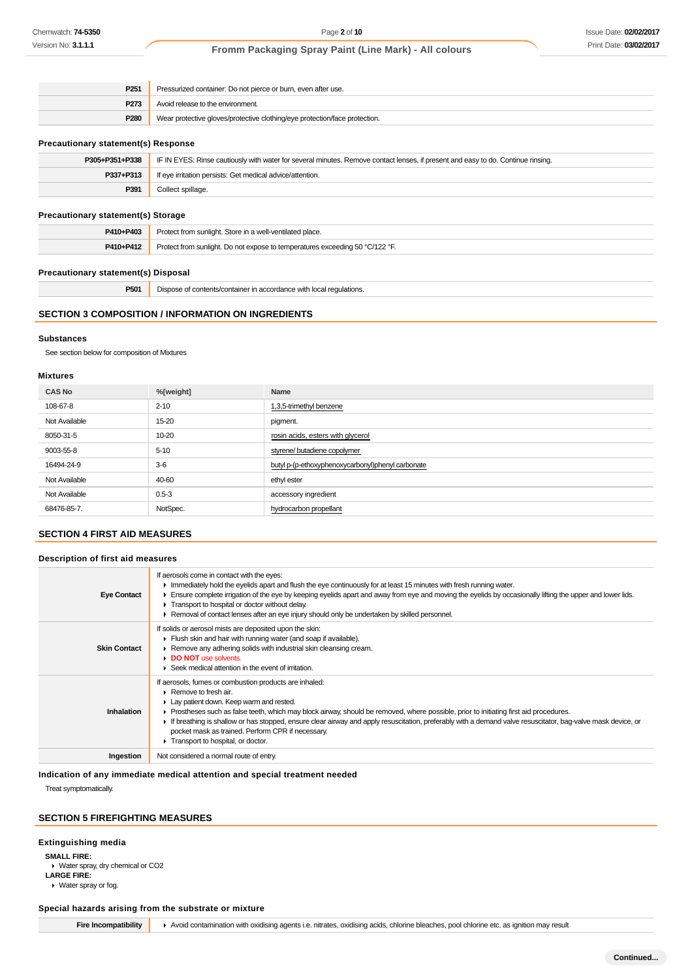| P <sub>251</sub> | Pressurized container: Do not pierce or burn, even after use.              |  |
|------------------|----------------------------------------------------------------------------|--|
| P273             | Avoid release to the environment.                                          |  |
| P280             | Wear protective gloves/protective clothing/eye protection/face protection. |  |

#### **Precautionary statement(s) Response**

| P305+P351+P338 | IF IN EYES: Rinse cautiously with water for several minutes. Remove contact lenses, if present and easy to do. Continue rinsing. |  |
|----------------|----------------------------------------------------------------------------------------------------------------------------------|--|
| P337+P313      | If eye irritation persists: Get medical advice/attention.                                                                        |  |
| P391           | Collect spillage.                                                                                                                |  |
|                |                                                                                                                                  |  |

### **Precautionary statement(s) Storage**

| P410+P403 | Protect from sunlight. Store in a well-ventilated place.                     |  |
|-----------|------------------------------------------------------------------------------|--|
| P410+P412 | Protect from sunlight. Do not expose to temperatures exceeding 50 °C/122 °F. |  |

## **Precautionary statement(s) Disposal**

**P501** Dispose of contents/container in accordance with local regulations.

## **SECTION 3 COMPOSITION / INFORMATION ON INGREDIENTS**

#### **Substances**

See section below for composition of Mixtures

## **Mixtures**

| <b>CAS No</b> | %[weight] | Name                                              |
|---------------|-----------|---------------------------------------------------|
| 108-67-8      | $2 - 10$  | 1,3,5-trimethyl benzene                           |
| Not Available | 15-20     | pigment.                                          |
| 8050-31-5     | 10-20     | rosin acids, esters with glycerol                 |
| 9003-55-8     | $5 - 10$  | styrene/ butadiene copolymer                      |
| 16494-24-9    | $3-6$     | butyl p-(p-ethoxyphenoxycarbonyl)phenyl carbonate |
| Not Available | 40-60     | ethyl ester                                       |
| Not Available | $0.5 - 3$ | accessory ingredient                              |
| 68476-85-7.   | NotSpec.  | hydrocarbon propellant                            |
|               |           |                                                   |

# **SECTION 4 FIRST AID MEASURES**

#### **Description of first aid measures**

| <b>Eye Contact</b>  | If aerosols come in contact with the eyes:<br>In mediately hold the eyelids apart and flush the eye continuously for at least 15 minutes with fresh running water.<br>Ensure complete irrigation of the eye by keeping eyelids apart and away from eye and moving the eyelids by occasionally lifting the upper and lower lids.<br>Transport to hospital or doctor without delay.<br>Removal of contact lenses after an eye injury should only be undertaken by skilled personnel.                                             |
|---------------------|--------------------------------------------------------------------------------------------------------------------------------------------------------------------------------------------------------------------------------------------------------------------------------------------------------------------------------------------------------------------------------------------------------------------------------------------------------------------------------------------------------------------------------|
| <b>Skin Contact</b> | If solids or aerosol mists are deposited upon the skin:<br>Flush skin and hair with running water (and soap if available).<br>▶ Remove any adhering solids with industrial skin cleansing cream.<br>DO NOT use solvents.<br>Seek medical attention in the event of irritation.                                                                                                                                                                                                                                                 |
| <b>Inhalation</b>   | If aerosols, fumes or combustion products are inhaled:<br>Remove to fresh air.<br>• Lay patient down. Keep warm and rested.<br>► Prostheses such as false teeth, which may block airway, should be removed, where possible, prior to initiating first aid procedures.<br>If breathing is shallow or has stopped, ensure clear airway and apply resuscitation, preferably with a demand valve resuscitator, bag-valve mask device, or<br>pocket mask as trained. Perform CPR if necessary.<br>Transport to hospital, or doctor. |
| Ingestion           | Not considered a normal route of entry.                                                                                                                                                                                                                                                                                                                                                                                                                                                                                        |

**Indication of any immediate medical attention and special treatment needed**

Treat symptomatically.

# **SECTION 5 FIREFIGHTING MEASURES**

#### **Extinguishing media**

**SMALL FIRE:**

Water spray, dry chemical or CO2

**LARGE FIRE:** Water spray or fog.

## **Special hazards arising from the substrate or mixture**

Fire Incompatibility **A** Avoid contamination with oxidising agents i.e. nitrates, oxidising acids, chlorine bleaches, pool chlorine etc. as ignition may result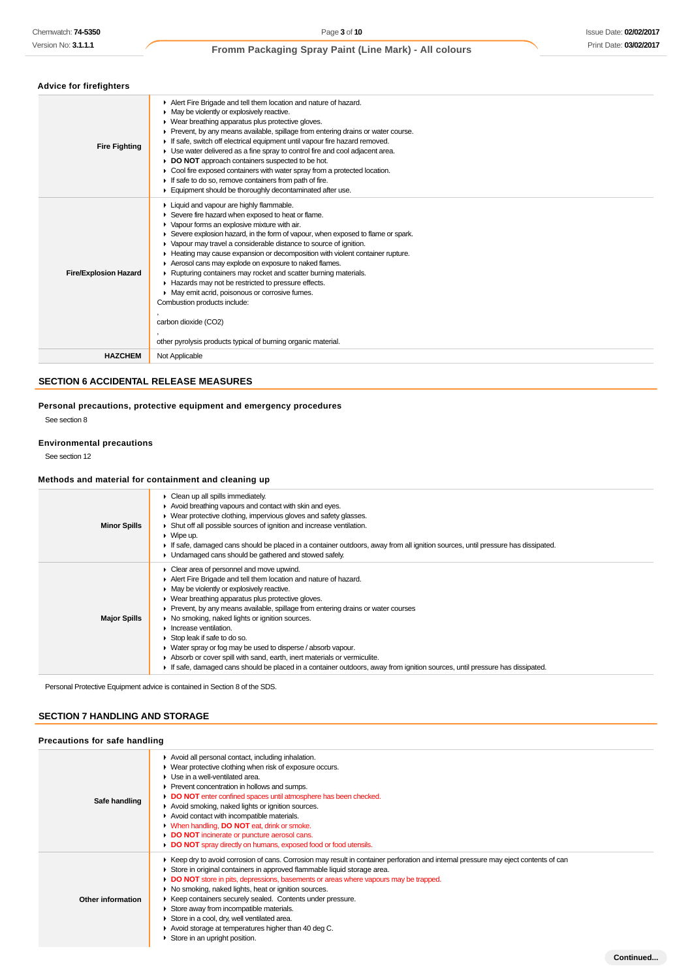**Continued...**

# **Fromm Packaging Spray Paint (Line Mark) - All colours**

# **Advice for firefighters**

| <b>AUVILE IVI IIIEIIUIIIEIS</b> |                                                                                                                                                                                                                                                                                                                                                                                                                                                                                                                                                                                                                                                                                                                                                         |  |
|---------------------------------|---------------------------------------------------------------------------------------------------------------------------------------------------------------------------------------------------------------------------------------------------------------------------------------------------------------------------------------------------------------------------------------------------------------------------------------------------------------------------------------------------------------------------------------------------------------------------------------------------------------------------------------------------------------------------------------------------------------------------------------------------------|--|
| <b>Fire Fighting</b>            | Alert Fire Brigade and tell them location and nature of hazard.<br>May be violently or explosively reactive.<br>• Wear breathing apparatus plus protective gloves.<br>▶ Prevent, by any means available, spillage from entering drains or water course.<br>If safe, switch off electrical equipment until vapour fire hazard removed.<br>► Use water delivered as a fine spray to control fire and cool adjacent area.<br>DO NOT approach containers suspected to be hot.<br>▸<br>• Cool fire exposed containers with water spray from a protected location.<br>If safe to do so, remove containers from path of fire.<br>Equipment should be thoroughly decontaminated after use.                                                                      |  |
| <b>Fire/Explosion Hazard</b>    | Liquid and vapour are highly flammable.<br>Severe fire hazard when exposed to heat or flame.<br>• Vapour forms an explosive mixture with air.<br>Severe explosion hazard, in the form of vapour, when exposed to flame or spark.<br>• Vapour may travel a considerable distance to source of ignition.<br>► Heating may cause expansion or decomposition with violent container rupture.<br>Aerosol cans may explode on exposure to naked flames.<br>▶ Rupturing containers may rocket and scatter burning materials.<br>Hazards may not be restricted to pressure effects.<br>• May emit acrid, poisonous or corrosive fumes.<br>Combustion products include:<br>carbon dioxide (CO2)<br>other pyrolysis products typical of burning organic material. |  |
| <b>HAZCHEM</b>                  | Not Applicable                                                                                                                                                                                                                                                                                                                                                                                                                                                                                                                                                                                                                                                                                                                                          |  |
|                                 |                                                                                                                                                                                                                                                                                                                                                                                                                                                                                                                                                                                                                                                                                                                                                         |  |

# **SECTION 6 ACCIDENTAL RELEASE MEASURES**

**Personal precautions, protective equipment and emergency procedures**

See section 8

# **Environmental precautions**

See section 12

### **Methods and material for containment and cleaning up**

| <b>Minor Spills</b> | • Clean up all spills immediately.<br>Avoid breathing vapours and contact with skin and eyes.<br>• Wear protective clothing, impervious gloves and safety glasses.<br>• Shut off all possible sources of ignition and increase ventilation.<br>$\triangleright$ Wipe up.<br>If safe, damaged cans should be placed in a container outdoors, away from all ignition sources, until pressure has dissipated.<br>• Undamaged cans should be gathered and stowed safely.                                                                                                                                                                                                                                                              |
|---------------------|-----------------------------------------------------------------------------------------------------------------------------------------------------------------------------------------------------------------------------------------------------------------------------------------------------------------------------------------------------------------------------------------------------------------------------------------------------------------------------------------------------------------------------------------------------------------------------------------------------------------------------------------------------------------------------------------------------------------------------------|
| <b>Major Spills</b> | $\triangleright$ Clear area of personnel and move upwind.<br>Alert Fire Brigade and tell them location and nature of hazard.<br>• May be violently or explosively reactive.<br>• Wear breathing apparatus plus protective gloves.<br>▶ Prevent, by any means available, spillage from entering drains or water courses<br>▶ No smoking, naked lights or ignition sources.<br>$\blacktriangleright$ Increase ventilation.<br>Stop leak if safe to do so.<br>• Water spray or fog may be used to disperse / absorb vapour.<br>Absorb or cover spill with sand, earth, inert materials or vermiculite.<br>If safe, damaged cans should be placed in a container outdoors, away from ignition sources, until pressure has dissipated. |

Personal Protective Equipment advice is contained in Section 8 of the SDS.

## **SECTION 7 HANDLING AND STORAGE**

#### **Precautions for safe handling**

| Safe handling     | Avoid all personal contact, including inhalation.<br>• Wear protective clothing when risk of exposure occurs.<br>• Use in a well-ventilated area.<br>Prevent concentration in hollows and sumps.<br>DO NOT enter confined spaces until atmosphere has been checked.<br>Avoid smoking, naked lights or ignition sources.<br>Avoid contact with incompatible materials.<br>• When handling, DO NOT eat, drink or smoke.<br><b>DO NOT</b> incinerate or puncture aerosol cans.<br>DO NOT spray directly on humans, exposed food or food utensils.                                                                                    |
|-------------------|-----------------------------------------------------------------------------------------------------------------------------------------------------------------------------------------------------------------------------------------------------------------------------------------------------------------------------------------------------------------------------------------------------------------------------------------------------------------------------------------------------------------------------------------------------------------------------------------------------------------------------------|
| Other information | ► Keep dry to avoid corrosion of cans. Corrosion may result in container perforation and internal pressure may eject contents of can<br>Store in original containers in approved flammable liquid storage area.<br>• DO NOT store in pits, depressions, basements or areas where vapours may be trapped.<br>No smoking, naked lights, heat or ignition sources.<br>▶ Keep containers securely sealed. Contents under pressure.<br>Store away from incompatible materials.<br>Store in a cool, dry, well ventilated area.<br>Avoid storage at temperatures higher than 40 deg C.<br>$\triangleright$ Store in an upright position. |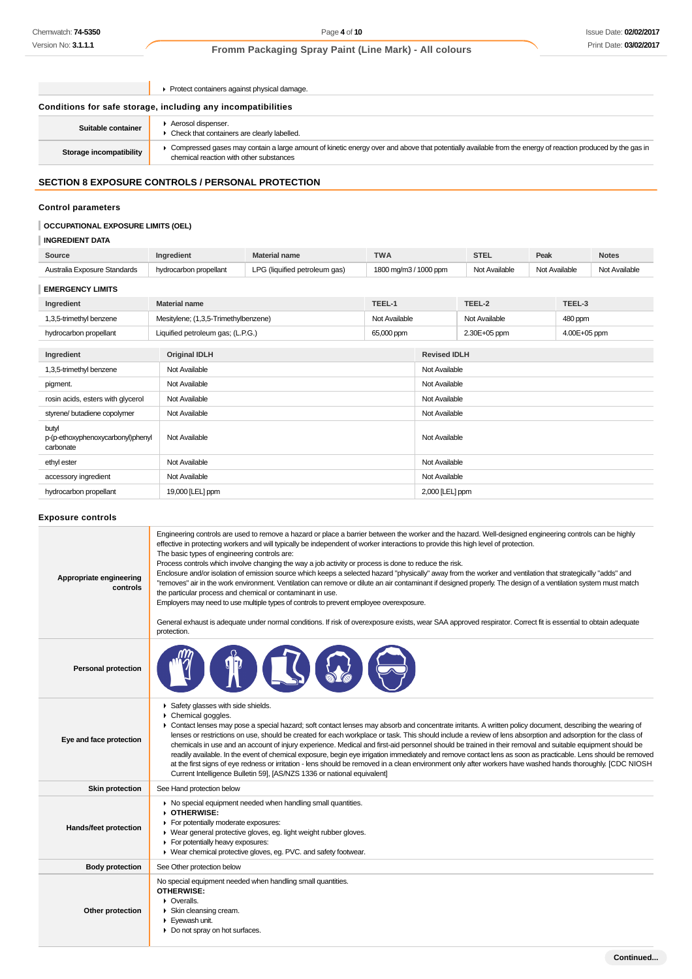|                         | ▶ Protect containers against physical damage.                                                                                                                                                         |
|-------------------------|-------------------------------------------------------------------------------------------------------------------------------------------------------------------------------------------------------|
|                         | Conditions for safe storage, including any incompatibilities                                                                                                                                          |
| Suitable container      | Aerosol dispenser.<br>• Check that containers are clearly labelled.                                                                                                                                   |
| Storage incompatibility | Compressed gases may contain a large amount of kinetic energy over and above that potentially available from the energy of reaction produced by the gas in<br>chemical reaction with other substances |

# **SECTION 8 EXPOSURE CONTROLS / PERSONAL PROTECTION**

# **Control parameters**

## **OCCUPATIONAL EXPOSURE LIMITS (OEL)**

# **INGREDIENT DATA**

| Source                                                  | Ingredient                           | <b>Material name</b>              | <b>TWA</b>            |                 | <b>STEL</b>         | Peak          |              | <b>Notes</b>  |
|---------------------------------------------------------|--------------------------------------|-----------------------------------|-----------------------|-----------------|---------------------|---------------|--------------|---------------|
| Australia Exposure Standards                            | hydrocarbon propellant               | LPG (liquified petroleum gas)     | 1800 mg/m3 / 1000 ppm |                 | Not Available       | Not Available |              | Not Available |
| <b>EMERGENCY LIMITS</b>                                 |                                      |                                   |                       |                 |                     |               |              |               |
| Ingredient                                              | <b>Material name</b>                 |                                   | TEEL-1                |                 | TEEL-2              |               | TEEL-3       |               |
| 1,3,5-trimethyl benzene                                 | Mesitylene; (1,3,5-Trimethylbenzene) |                                   | Not Available         |                 | Not Available       |               | 480 ppm      |               |
| hydrocarbon propellant                                  |                                      | Liquified petroleum gas; (L.P.G.) |                       |                 | 2.30E+05 ppm        |               | 4.00E+05 ppm |               |
| Ingredient                                              | <b>Original IDLH</b>                 |                                   |                       |                 | <b>Revised IDLH</b> |               |              |               |
| 1,3,5-trimethyl benzene                                 | Not Available                        |                                   |                       |                 | Not Available       |               |              |               |
| pigment.                                                | Not Available                        |                                   |                       |                 | Not Available       |               |              |               |
| rosin acids, esters with glycerol                       | Not Available                        |                                   |                       |                 | Not Available       |               |              |               |
| styrene/ butadiene copolymer                            | Not Available                        |                                   |                       |                 | Not Available       |               |              |               |
| butyl<br>p-(p-ethoxyphenoxycarbonyl)phenyl<br>carbonate | Not Available                        |                                   |                       |                 | Not Available       |               |              |               |
| ethyl ester                                             | Not Available                        |                                   |                       |                 | Not Available       |               |              |               |
| accessory ingredient                                    | Not Available                        |                                   |                       |                 | Not Available       |               |              |               |
| hydrocarbon propellant                                  | 19,000 [LEL] ppm                     |                                   |                       | 2,000 [LEL] ppm |                     |               |              |               |

## **Exposure controls**

| Appropriate engineering<br>controls | Engineering controls are used to remove a hazard or place a barrier between the worker and the hazard. Well-designed engineering controls can be highly<br>effective in protecting workers and will typically be independent of worker interactions to provide this high level of protection.<br>The basic types of engineering controls are:<br>Process controls which involve changing the way a job activity or process is done to reduce the risk.<br>Enclosure and/or isolation of emission source which keeps a selected hazard "physically" away from the worker and ventilation that strategically "adds" and<br>"removes" air in the work environment. Ventilation can remove or dilute an air contaminant if designed properly. The design of a ventilation system must match<br>the particular process and chemical or contaminant in use.<br>Employers may need to use multiple types of controls to prevent employee overexposure.<br>General exhaust is adequate under normal conditions. If risk of overexposure exists, wear SAA approved respirator. Correct fit is essential to obtain adequate<br>protection. |
|-------------------------------------|----------------------------------------------------------------------------------------------------------------------------------------------------------------------------------------------------------------------------------------------------------------------------------------------------------------------------------------------------------------------------------------------------------------------------------------------------------------------------------------------------------------------------------------------------------------------------------------------------------------------------------------------------------------------------------------------------------------------------------------------------------------------------------------------------------------------------------------------------------------------------------------------------------------------------------------------------------------------------------------------------------------------------------------------------------------------------------------------------------------------------------|
| <b>Personal protection</b>          |                                                                                                                                                                                                                                                                                                                                                                                                                                                                                                                                                                                                                                                                                                                                                                                                                                                                                                                                                                                                                                                                                                                                  |
| Eye and face protection             | Safety glasses with side shields.<br>Chemical goggles.<br>r.<br>• Contact lenses may pose a special hazard; soft contact lenses may absorb and concentrate irritants. A written policy document, describing the wearing of<br>lenses or restrictions on use, should be created for each workplace or task. This should include a review of lens absorption and adsorption for the class of<br>chemicals in use and an account of injury experience. Medical and first-aid personnel should be trained in their removal and suitable equipment should be<br>readily available. In the event of chemical exposure, begin eye irrigation immediately and remove contact lens as soon as practicable. Lens should be removed<br>at the first signs of eye redness or irritation - lens should be removed in a clean environment only after workers have washed hands thoroughly. [CDC NIOSH<br>Current Intelligence Bulletin 59], [AS/NZS 1336 or national equivalent]                                                                                                                                                               |
| <b>Skin protection</b>              | See Hand protection below                                                                                                                                                                                                                                                                                                                                                                                                                                                                                                                                                                                                                                                                                                                                                                                                                                                                                                                                                                                                                                                                                                        |
| Hands/feet protection               | • No special equipment needed when handling small quantities.<br>▶ OTHERWISE:<br>For potentially moderate exposures:<br>▶ Wear general protective gloves, eg. light weight rubber gloves.<br>F For potentially heavy exposures:<br>▶ Wear chemical protective gloves, eg. PVC. and safety footwear.                                                                                                                                                                                                                                                                                                                                                                                                                                                                                                                                                                                                                                                                                                                                                                                                                              |
| <b>Body protection</b>              | See Other protection below                                                                                                                                                                                                                                                                                                                                                                                                                                                                                                                                                                                                                                                                                                                                                                                                                                                                                                                                                                                                                                                                                                       |
| Other protection                    | No special equipment needed when handling small quantities.<br><b>OTHERWISE:</b><br>• Overalls.<br>Skin cleansing cream.<br>$\blacktriangleright$ Eyewash unit.<br>Do not spray on hot surfaces.                                                                                                                                                                                                                                                                                                                                                                                                                                                                                                                                                                                                                                                                                                                                                                                                                                                                                                                                 |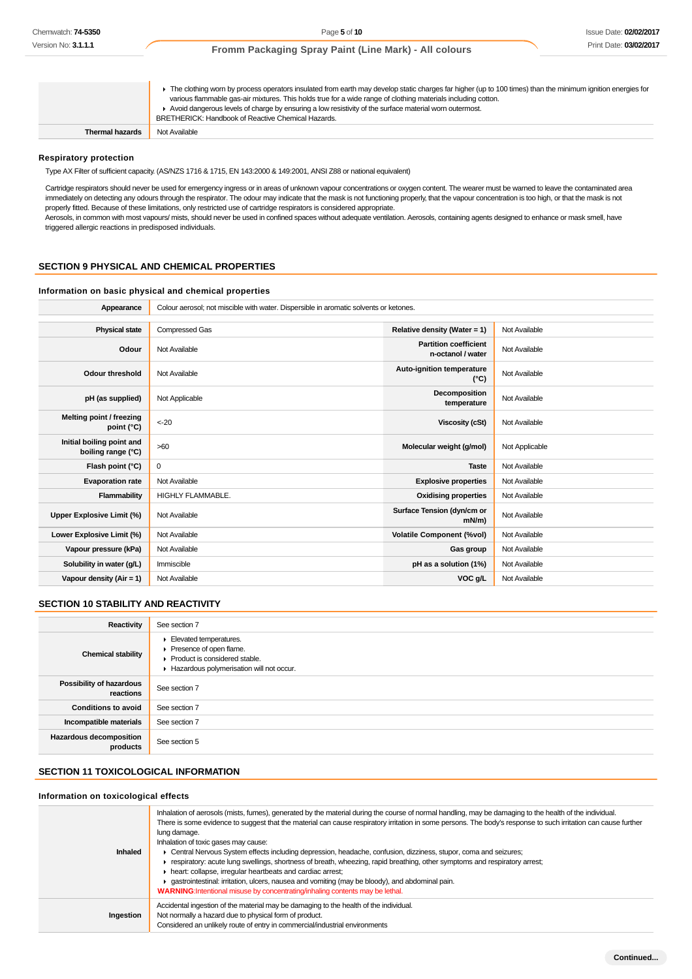|                 | The clothing worn by process operators insulated from earth may develop static charges far higher (up to 100 times) than the minimum ignition energies for<br>various flammable gas-air mixtures. This holds true for a wide range of clothing materials including cotton.<br>Avoid dangerous levels of charge by ensuring a low resistivity of the surface material worn outermost.<br>BRETHERICK: Handbook of Reactive Chemical Hazards. |
|-----------------|--------------------------------------------------------------------------------------------------------------------------------------------------------------------------------------------------------------------------------------------------------------------------------------------------------------------------------------------------------------------------------------------------------------------------------------------|
| Thermal hazards | Not Available                                                                                                                                                                                                                                                                                                                                                                                                                              |

#### **Respiratory protection**

Type AX Filter of sufficient capacity. (AS/NZS 1716 & 1715, EN 143:2000 & 149:2001, ANSI Z88 or national equivalent)

Cartridge respirators should never be used for emergency ingress or in areas of unknown vapour concentrations or oxygen content. The wearer must be warned to leave the contaminated area immediately on detecting any odours through the respirator. The odour may indicate that the mask is not functioning properly, that the vapour concentration is too high, or that the mask is not properly fitted. Because of these limitations, only restricted use of cartridge respirators is considered appropriate.

Aerosols, in common with most vapours/ mists, should never be used in confined spaces without adequate ventilation. Aerosols, containing agents designed to enhance or mask smell, have triggered allergic reactions in predisposed individuals.

#### **SECTION 9 PHYSICAL AND CHEMICAL PROPERTIES**

#### **Information on basic physical and chemical properties**

| Appearance                                      | Colour aerosol; not miscible with water. Dispersible in aromatic solvents or ketones. |                                                   |                |  |  |  |  |
|-------------------------------------------------|---------------------------------------------------------------------------------------|---------------------------------------------------|----------------|--|--|--|--|
|                                                 |                                                                                       |                                                   |                |  |  |  |  |
| <b>Physical state</b>                           | Compressed Gas<br>Relative density (Water = 1)<br>Not Available                       |                                                   |                |  |  |  |  |
| Odour                                           | Not Available                                                                         | <b>Partition coefficient</b><br>n-octanol / water | Not Available  |  |  |  |  |
| <b>Odour threshold</b>                          | Not Available                                                                         | Auto-ignition temperature<br>$(^{\circ}C)$        | Not Available  |  |  |  |  |
| pH (as supplied)                                | Not Applicable                                                                        | Decomposition<br>temperature                      | Not Available  |  |  |  |  |
| Melting point / freezing<br>point (°C)          | $<-20$                                                                                | <b>Viscosity (cSt)</b>                            | Not Available  |  |  |  |  |
| Initial boiling point and<br>boiling range (°C) | >60                                                                                   | Molecular weight (g/mol)                          | Not Applicable |  |  |  |  |
| Flash point (°C)                                | 0                                                                                     | <b>Taste</b>                                      | Not Available  |  |  |  |  |
| <b>Evaporation rate</b>                         | Not Available                                                                         | <b>Explosive properties</b>                       | Not Available  |  |  |  |  |
| Flammability                                    | <b>HIGHLY FLAMMABLE.</b>                                                              | <b>Oxidising properties</b>                       | Not Available  |  |  |  |  |
| Upper Explosive Limit (%)                       | Not Available                                                                         | Surface Tension (dyn/cm or<br>$mN/m$ )            | Not Available  |  |  |  |  |
| Lower Explosive Limit (%)                       | Not Available                                                                         | <b>Volatile Component (%vol)</b>                  | Not Available  |  |  |  |  |
| Vapour pressure (kPa)                           | Not Available                                                                         | Gas group                                         | Not Available  |  |  |  |  |
| Solubility in water (g/L)                       | Immiscible                                                                            | pH as a solution (1%)                             | Not Available  |  |  |  |  |
| Vapour density (Air = 1)                        | Not Available                                                                         | VOC g/L                                           | Not Available  |  |  |  |  |

## **SECTION 10 STABILITY AND REACTIVITY**

| Reactivity                            | See section 7                                                                                                                                                              |
|---------------------------------------|----------------------------------------------------------------------------------------------------------------------------------------------------------------------------|
| <b>Chemical stability</b>             | $\blacktriangleright$ Elevated temperatures.<br>Presence of open flame.<br>$\blacktriangleright$ Product is considered stable.<br>Hazardous polymerisation will not occur. |
| Possibility of hazardous<br>reactions | See section 7                                                                                                                                                              |
| <b>Conditions to avoid</b>            | See section 7                                                                                                                                                              |
| Incompatible materials                | See section 7                                                                                                                                                              |
| Hazardous decomposition<br>products   | See section 5                                                                                                                                                              |

# **SECTION 11 TOXICOLOGICAL INFORMATION**

### **Information on toxicological effects**

| <b>Inhaled</b> | Inhalation of aerosols (mists, fumes), generated by the material during the course of normal handling, may be damaging to the health of the individual.<br>There is some evidence to suggest that the material can cause respiratory irritation in some persons. The body's response to such irritation can cause further<br>lung damage.<br>Inhalation of toxic gases may cause:<br>Central Nervous System effects including depression, headache, confusion, dizziness, stupor, coma and seizures;<br>F respiratory: acute lung swellings, shortness of breath, wheezing, rapid breathing, other symptoms and respiratory arrest;<br>heart: collapse, irregular heartbeats and cardiac arrest;<br>gastrointestinal: irritation, ulcers, nausea and vomiting (may be bloody), and abdominal pain.<br>WARNING: Intentional misuse by concentrating/inhaling contents may be lethal. |
|----------------|-------------------------------------------------------------------------------------------------------------------------------------------------------------------------------------------------------------------------------------------------------------------------------------------------------------------------------------------------------------------------------------------------------------------------------------------------------------------------------------------------------------------------------------------------------------------------------------------------------------------------------------------------------------------------------------------------------------------------------------------------------------------------------------------------------------------------------------------------------------------------------------|
| Ingestion      | Accidental ingestion of the material may be damaging to the health of the individual.<br>Not normally a hazard due to physical form of product.<br>Considered an unlikely route of entry in commercial/industrial environments                                                                                                                                                                                                                                                                                                                                                                                                                                                                                                                                                                                                                                                      |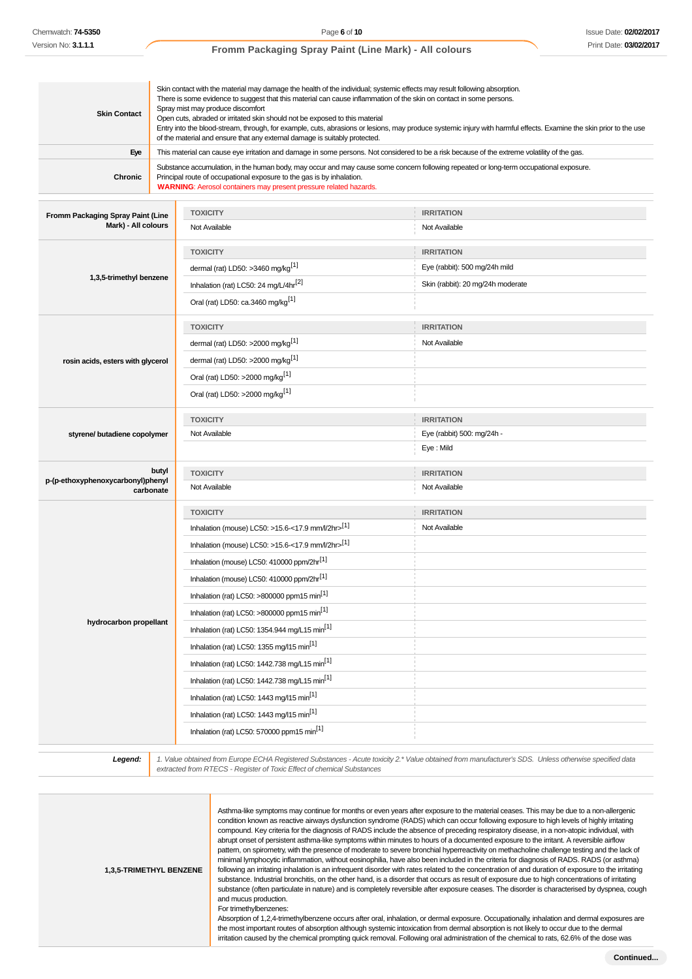# **Skin Contact** Skin contact with the material may damage the health of the individual; systemic effects may result following absorption. There is some evidence to suggest that this material can cause inflammation of the skin on contact in some persons. Spray mist may produce discomfort Open cuts, abraded or irritated skin should not be exposed to this material Entry into the blood-stream, through, for example, cuts, abrasions or lesions, may produce systemic injury with harmful effects. Examine the skin prior to the use of the material and ensure that any external damage is suitably protected. **Eye** This material can cause eye irritation and damage in some persons. Not considered to be a risk because of the extreme volatility of the gas. **Chronic** Substance accumulation, in the human body, may occur and may cause some concern following repeated or long-term occupational exposure. Principal route of occupational exposure to the gas is by inhalation. **WARNING**: Aerosol containers may present pressure related hazards. **Fromm Packaging Spray Paint (Line Mark) - All colours TOXICITY IRRITATION** Not Available Not Available Not Available Not Available **1,3,5-trimethyl benzene TOXICITY IRRITATION** dermal (rat) LD50: >3460 mg/kg<sup>[1]</sup>  $\qquad \qquad$  Eye (rabbit): 500 mg/24h mild Inhalation (rat) LC50: 24 mg/L/4hr<sup>[2]</sup> Skin (rabbit): 20 mg/24h moderate Oral (rat) LD50: ca.3460 mg/kg[1] **rosin acids, esters with glycerol TOXICITY IRRITATION** dermal (rat) LD50:  $>2000 \text{ ma/ka}^{\left[1\right]}$  Not Available dermal (rat) LD50: >2000 mg/kg[1] Oral (rat) LD50: >2000 mg/kg[1] Oral (rat) LD50: >2000 mg/kg[1] **styrene/ butadiene copolymer TOXICITY IRRITATION** Not Available Eye (rabbit) 500: mg/24h - Eye : Mild **butyl p-(p-ethoxyphenoxycarbonyl)phenyl carbonate TOXICITY IRRITATION** Not Available Not Available **hydrocarbon propellant TOXICITY IRRITATION** Inhalation (mouse) LC50: >15.6-<17.9 mm/l/2hr> $[1]$  Not Available Inhalation (mouse) LC50:  $>15.6$ -<17.9 mm/l/2hr $>$ <sup>[1]</sup> Inhalation (mouse) LC50: 410000 ppm/2hr<sup>[1]</sup> Inhalation (mouse) LC50: 410000 ppm/2hr[1] Inhalation (rat) LC50: >800000 ppm15 min<sup>[1]</sup> Inhalation (rat) LC50:  $>800000$  ppm15 min<sup>[1]</sup> Inhalation (rat) LC50: 1354.944 mg/L15 min<sup>[1]</sup> Inhalation (rat) LC50: 1355 mg/l15 min<sup>[1]</sup> Inhalation (rat) LC50: 1442.738 mg/L15 min[1] Inhalation (rat) LC50: 1442.738 mg/L15 min<sup>[1]</sup> Inhalation (rat) LC50: 1443 mg/l15 min<sup>[1]</sup> Inhalation (rat) LC50: 1443 mg/l15 min<sup>[1]</sup> Inhalation (rat) LC50: 570000 ppm15 min<sup>[1]</sup>

**Legend:** 1. Value obtained from Europe ECHA Registered Substances - Acute toxicity 2.\* Value obtained from manufacturer's SDS. Unless otherwise specified data extracted from RTECS - Register of Toxic Effect of chemical Substances

| <b>1.3.5-TRIMETHYL BENZENE</b> | Asthma-like symptoms may continue for months or even years after exposure to the material ceases. This may be due to a non-allergenic<br>condition known as reactive airways dysfunction syndrome (RADS) which can occur following exposure to high levels of highly irritating<br>compound. Key criteria for the diagnosis of RADS include the absence of preceding respiratory disease, in a non-atopic individual, with<br>abrupt onset of persistent asthma-like symptoms within minutes to hours of a documented exposure to the irritant. A reversible airflow<br>pattern, on spirometry, with the presence of moderate to severe bronchial hyperreactivity on methacholine challenge testing and the lack of<br>minimal lymphocytic inflammation, without eosinophilia, have also been included in the criteria for diagnosis of RADS. RADS (or asthma)<br>following an irritating inhalation is an infrequent disorder with rates related to the concentration of and duration of exposure to the irritating<br>substance. Industrial bronchitis, on the other hand, is a disorder that occurs as result of exposure due to high concentrations of irritating<br>substance (often particulate in nature) and is completely reversible after exposure ceases. The disorder is characterised by dyspnea, cough<br>and mucus production.<br>For trimethylbenzenes:<br>Absorption of 1,2,4-trimethylbenzene occurs after oral, inhalation, or dermal exposure. Occupationally, inhalation and dermal exposures are<br>the most important routes of absorption although systemic intoxication from dermal absorption is not likely to occur due to the dermal<br>irritation caused by the chemical prompting quick removal. Following oral administration of the chemical to rats, 62.6% of the dose was |
|--------------------------------|-------------------------------------------------------------------------------------------------------------------------------------------------------------------------------------------------------------------------------------------------------------------------------------------------------------------------------------------------------------------------------------------------------------------------------------------------------------------------------------------------------------------------------------------------------------------------------------------------------------------------------------------------------------------------------------------------------------------------------------------------------------------------------------------------------------------------------------------------------------------------------------------------------------------------------------------------------------------------------------------------------------------------------------------------------------------------------------------------------------------------------------------------------------------------------------------------------------------------------------------------------------------------------------------------------------------------------------------------------------------------------------------------------------------------------------------------------------------------------------------------------------------------------------------------------------------------------------------------------------------------------------------------------------------------------------------------------------------------------------------------------------------------------------------------------------|
|                                |                                                                                                                                                                                                                                                                                                                                                                                                                                                                                                                                                                                                                                                                                                                                                                                                                                                                                                                                                                                                                                                                                                                                                                                                                                                                                                                                                                                                                                                                                                                                                                                                                                                                                                                                                                                                             |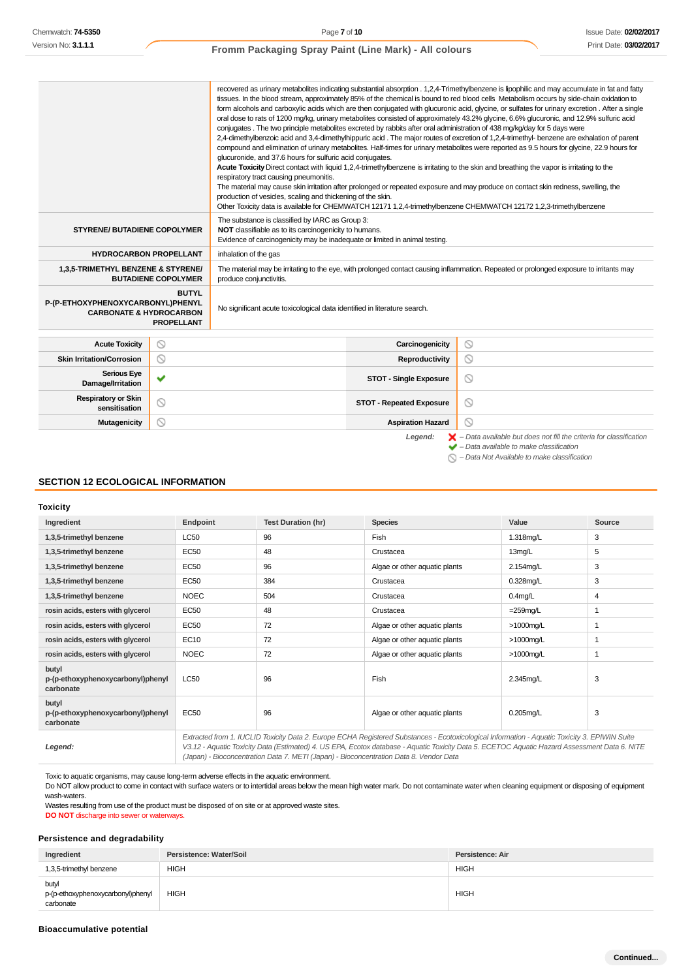|                                                                         |                                   | recovered as urinary metabolites indicating substantial absorption . 1,2,4-Trimethylbenzene is lipophilic and may accumulate in fat and fatty<br>tissues. In the blood stream, approximately 85% of the chemical is bound to red blood cells Metabolism occurs by side-chain oxidation to<br>form alcohols and carboxylic acids which are then conjugated with glucuronic acid, glycine, or sulfates for urinary excretion. After a single<br>oral dose to rats of 1200 mg/kg, urinary metabolites consisted of approximately 43.2% glycine, 6.6% glucuronic, and 12.9% sulfuric acid<br>conjugates . The two principle metabolites excreted by rabbits after oral administration of 438 mg/kg/day for 5 days were<br>2.4-dimethylbenzoic acid and 3.4-dimethylhippuric acid. The major routes of excretion of 1.2.4-trimethyl-benzene are exhalation of parent<br>compound and elimination of urinary metabolites. Half-times for urinary metabolites were reported as 9.5 hours for glycine, 22.9 hours for<br>glucuronide, and 37.6 hours for sulfuric acid conjugates.<br>Acute Toxicity Direct contact with liquid 1.2.4-trimethylbenzene is irritating to the skin and breathing the vapor is irritating to the<br>respiratory tract causing pneumonitis.<br>The material may cause skin irritation after prolonged or repeated exposure and may produce on contact skin redness, swelling, the<br>production of vesicles, scaling and thickening of the skin.<br>Other Toxicity data is available for CHEMWATCH 12171 1,2,4-trimethylbenzene CHEMWATCH 12172 1,2,3-trimethylbenzene |                                 |                                                                                                                                                           |  |
|-------------------------------------------------------------------------|-----------------------------------|--------------------------------------------------------------------------------------------------------------------------------------------------------------------------------------------------------------------------------------------------------------------------------------------------------------------------------------------------------------------------------------------------------------------------------------------------------------------------------------------------------------------------------------------------------------------------------------------------------------------------------------------------------------------------------------------------------------------------------------------------------------------------------------------------------------------------------------------------------------------------------------------------------------------------------------------------------------------------------------------------------------------------------------------------------------------------------------------------------------------------------------------------------------------------------------------------------------------------------------------------------------------------------------------------------------------------------------------------------------------------------------------------------------------------------------------------------------------------------------------------------------------------------------------------------------------------------------------|---------------------------------|-----------------------------------------------------------------------------------------------------------------------------------------------------------|--|
| <b>STYRENE/ BUTADIENE COPOLYMER</b>                                     |                                   | The substance is classified by IARC as Group 3:<br>NOT classifiable as to its carcinogenicity to humans.<br>Evidence of carcinogenicity may be inadequate or limited in animal testing.                                                                                                                                                                                                                                                                                                                                                                                                                                                                                                                                                                                                                                                                                                                                                                                                                                                                                                                                                                                                                                                                                                                                                                                                                                                                                                                                                                                                    |                                 |                                                                                                                                                           |  |
| <b>HYDROCARBON PROPELLANT</b>                                           |                                   | inhalation of the gas                                                                                                                                                                                                                                                                                                                                                                                                                                                                                                                                                                                                                                                                                                                                                                                                                                                                                                                                                                                                                                                                                                                                                                                                                                                                                                                                                                                                                                                                                                                                                                      |                                 |                                                                                                                                                           |  |
| 1,3,5-TRIMETHYL BENZENE & STYRENE/                                      | <b>BUTADIENE COPOLYMER</b>        | The material may be irritating to the eye, with prolonged contact causing inflammation. Repeated or prolonged exposure to irritants may<br>produce conjunctivitis.                                                                                                                                                                                                                                                                                                                                                                                                                                                                                                                                                                                                                                                                                                                                                                                                                                                                                                                                                                                                                                                                                                                                                                                                                                                                                                                                                                                                                         |                                 |                                                                                                                                                           |  |
| P-(P-ETHOXYPHENOXYCARBONYL)PHENYL<br><b>CARBONATE &amp; HYDROCARBON</b> | <b>BUTYL</b><br><b>PROPELLANT</b> | No significant acute toxicological data identified in literature search.                                                                                                                                                                                                                                                                                                                                                                                                                                                                                                                                                                                                                                                                                                                                                                                                                                                                                                                                                                                                                                                                                                                                                                                                                                                                                                                                                                                                                                                                                                                   |                                 |                                                                                                                                                           |  |
| <b>Acute Toxicity</b>                                                   | $\circledcirc$                    |                                                                                                                                                                                                                                                                                                                                                                                                                                                                                                                                                                                                                                                                                                                                                                                                                                                                                                                                                                                                                                                                                                                                                                                                                                                                                                                                                                                                                                                                                                                                                                                            | Carcinogenicity                 |                                                                                                                                                           |  |
| <b>Skin Irritation/Corrosion</b>                                        | ⊚                                 |                                                                                                                                                                                                                                                                                                                                                                                                                                                                                                                                                                                                                                                                                                                                                                                                                                                                                                                                                                                                                                                                                                                                                                                                                                                                                                                                                                                                                                                                                                                                                                                            | Reproductivity                  | $\circ$<br>$\circledcirc$                                                                                                                                 |  |
| <b>Serious Eye</b>                                                      |                                   |                                                                                                                                                                                                                                                                                                                                                                                                                                                                                                                                                                                                                                                                                                                                                                                                                                                                                                                                                                                                                                                                                                                                                                                                                                                                                                                                                                                                                                                                                                                                                                                            |                                 |                                                                                                                                                           |  |
| Damage/Irritation                                                       | v                                 |                                                                                                                                                                                                                                                                                                                                                                                                                                                                                                                                                                                                                                                                                                                                                                                                                                                                                                                                                                                                                                                                                                                                                                                                                                                                                                                                                                                                                                                                                                                                                                                            | <b>STOT - Single Exposure</b>   | ◎                                                                                                                                                         |  |
| <b>Respiratory or Skin</b><br>sensitisation                             | ര                                 |                                                                                                                                                                                                                                                                                                                                                                                                                                                                                                                                                                                                                                                                                                                                                                                                                                                                                                                                                                                                                                                                                                                                                                                                                                                                                                                                                                                                                                                                                                                                                                                            | <b>STOT - Repeated Exposure</b> | $\circ$                                                                                                                                                   |  |
| <b>Mutagenicity</b>                                                     | ര                                 |                                                                                                                                                                                                                                                                                                                                                                                                                                                                                                                                                                                                                                                                                                                                                                                                                                                                                                                                                                                                                                                                                                                                                                                                                                                                                                                                                                                                                                                                                                                                                                                            | Q<br><b>Aspiration Hazard</b>   |                                                                                                                                                           |  |
|                                                                         |                                   |                                                                                                                                                                                                                                                                                                                                                                                                                                                                                                                                                                                                                                                                                                                                                                                                                                                                                                                                                                                                                                                                                                                                                                                                                                                                                                                                                                                                                                                                                                                                                                                            | Legend:                         | $\blacktriangleright$ - Data available but does not fill the criteria for classification<br>$\blacktriangleright$ - Data available to make classification |  |

 $\bigcirc$  – Data Not Available to make classification

## **SECTION 12 ECOLOGICAL INFORMATION**

**Toxicity**

| Ingredient                                              | Endpoint                                                                                                                                                                                                                                                                                       | <b>Test Duration (hr)</b> | <b>Species</b>                | Value        | Source |  |
|---------------------------------------------------------|------------------------------------------------------------------------------------------------------------------------------------------------------------------------------------------------------------------------------------------------------------------------------------------------|---------------------------|-------------------------------|--------------|--------|--|
| 1,3,5-trimethyl benzene                                 | <b>LC50</b>                                                                                                                                                                                                                                                                                    | 96                        | <b>Fish</b>                   | 1.318mg/L    | 3      |  |
| 1,3,5-trimethyl benzene                                 | <b>EC50</b>                                                                                                                                                                                                                                                                                    | 48                        | Crustacea                     | 13mg/L       | 5      |  |
| 1,3,5-trimethyl benzene                                 | <b>EC50</b>                                                                                                                                                                                                                                                                                    | 96                        | Algae or other aquatic plants | 2.154mg/L    | 3      |  |
| 1,3,5-trimethyl benzene                                 | <b>EC50</b>                                                                                                                                                                                                                                                                                    | 384                       | Crustacea                     | $0.328$ mg/L | 3      |  |
| 1,3,5-trimethyl benzene                                 | <b>NOEC</b>                                                                                                                                                                                                                                                                                    | 504                       | Crustacea                     | $0.4$ mg/L   | 4      |  |
| rosin acids, esters with glycerol                       | <b>EC50</b>                                                                                                                                                                                                                                                                                    | 48                        | Crustacea                     | $=259$ mg/L  |        |  |
| rosin acids, esters with glycerol                       | <b>EC50</b>                                                                                                                                                                                                                                                                                    | 72                        | Algae or other aquatic plants | $>1000$ mg/L |        |  |
| rosin acids, esters with glycerol                       | <b>EC10</b>                                                                                                                                                                                                                                                                                    | 72                        | Algae or other aquatic plants | $>1000$ mg/L |        |  |
| rosin acids, esters with glycerol                       | <b>NOEC</b>                                                                                                                                                                                                                                                                                    | 72                        | Algae or other aquatic plants | $>1000$ mg/L |        |  |
| butyl<br>p-(p-ethoxyphenoxycarbonyl)phenyl<br>carbonate | <b>LC50</b>                                                                                                                                                                                                                                                                                    | 96                        | Fish                          | 2.345mg/L    | 3      |  |
| butyl<br>p-(p-ethoxyphenoxycarbonyl)phenyl<br>carbonate | <b>EC50</b>                                                                                                                                                                                                                                                                                    | 96                        | Algae or other aquatic plants | $0.205$ mg/L | 3      |  |
| Legend:                                                 | Extracted from 1. IUCLID Toxicity Data 2. Europe ECHA Registered Substances - Ecotoxicological Information - Aquatic Toxicity 3. EPIWIN Suite<br>V3.12 - Aquatic Toxicity Data (Estimated) 4. US EPA, Ecotox database - Aquatic Toxicity Data 5. ECETOC Aquatic Hazard Assessment Data 6. NITE |                           |                               |              |        |  |

V3.12 - Aquatic Toxicity Data (Estimated) 4. US EPA, Ecotox database - Aquatic Toxicity Data 5. ECETOC Aquatic Hazard Assessment Data 6. NITE (Japan) - Bioconcentration Data 7. METI (Japan) - Bioconcentration Data 8. Vendor Data

Toxic to aquatic organisms, may cause long-term adverse effects in the aquatic environment.

Do NOT allow product to come in contact with surface waters or to intertidal areas below the mean high water mark. Do not contaminate water when cleaning equipment or disposing of equipment wash-waters.

Wastes resulting from use of the product must be disposed of on site or at approved waste sites. **DO NOT** discharge into sewer or waterways.

#### **Persistence and degradability**

| Ingredient                                              | Persistence: Water/Soil | Persistence: Air |
|---------------------------------------------------------|-------------------------|------------------|
| 1,3,5-trimethyl benzene                                 | <b>HIGH</b>             | <b>HIGH</b>      |
| butyl<br>p-(p-ethoxyphenoxycarbonyl)phenyl<br>carbonate | <b>HIGH</b>             | <b>HIGH</b>      |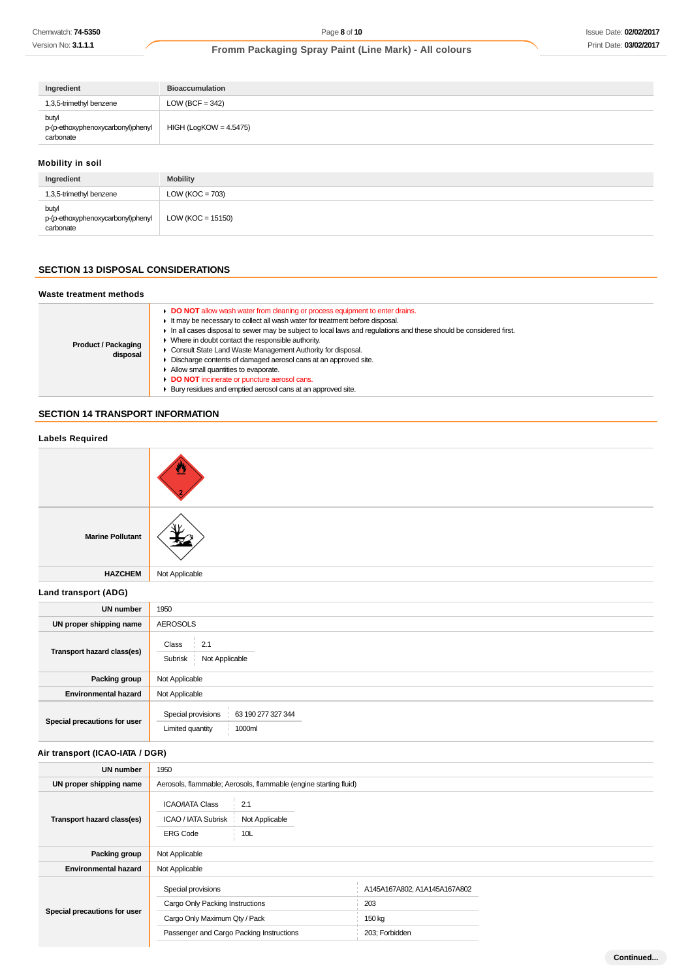| Ingredient                                              | <b>Bioaccumulation</b>   |
|---------------------------------------------------------|--------------------------|
| 1,3,5-trimethyl benzene                                 | LOW (BCF = $342$ )       |
| butyl<br>p-(p-ethoxyphenoxycarbonyl)phenyl<br>carbonate | $HIGH (LogKOW = 4.5475)$ |

# **Mobility in soil**

| Ingredient                                              | <b>Mobility</b>     |
|---------------------------------------------------------|---------------------|
| 1,3,5-trimethyl benzene                                 | LOW ( $KOC = 703$ ) |
| butyl<br>p-(p-ethoxyphenoxycarbonyl)phenyl<br>carbonate | LOW (KOC = 15150)   |

# **SECTION 13 DISPOSAL CONSIDERATIONS**

#### **Waste treatment methods**

| <b>Product / Packaging</b><br>disposal | DO NOT allow wash water from cleaning or process equipment to enter drains.<br>It may be necessary to collect all wash water for treatment before disposal.<br>In all cases disposal to sewer may be subject to local laws and regulations and these should be considered first.<br>$\triangleright$ Where in doubt contact the responsible authority.<br>Consult State Land Waste Management Authority for disposal.<br>• Discharge contents of damaged aerosol cans at an approved site.<br>Allow small quantities to evaporate.<br>DO NOT incinerate or puncture aerosol cans.<br>• Bury residues and emptied aerosol cans at an approved site. |
|----------------------------------------|----------------------------------------------------------------------------------------------------------------------------------------------------------------------------------------------------------------------------------------------------------------------------------------------------------------------------------------------------------------------------------------------------------------------------------------------------------------------------------------------------------------------------------------------------------------------------------------------------------------------------------------------------|
|----------------------------------------|----------------------------------------------------------------------------------------------------------------------------------------------------------------------------------------------------------------------------------------------------------------------------------------------------------------------------------------------------------------------------------------------------------------------------------------------------------------------------------------------------------------------------------------------------------------------------------------------------------------------------------------------------|

## **SECTION 14 TRANSPORT INFORMATION**

| <b>Labels Required</b>          |                                                                                                  |                                     |  |
|---------------------------------|--------------------------------------------------------------------------------------------------|-------------------------------------|--|
|                                 |                                                                                                  |                                     |  |
| <b>Marine Pollutant</b>         |                                                                                                  |                                     |  |
| <b>HAZCHEM</b>                  | Not Applicable                                                                                   |                                     |  |
| Land transport (ADG)            |                                                                                                  |                                     |  |
| <b>UN number</b>                | 1950                                                                                             |                                     |  |
| UN proper shipping name         | <b>AEROSOLS</b>                                                                                  |                                     |  |
| Transport hazard class(es)      | Class<br>2.1<br>Not Applicable<br>Subrisk                                                        |                                     |  |
| Packing group                   | Not Applicable                                                                                   |                                     |  |
| <b>Environmental hazard</b>     | Not Applicable                                                                                   |                                     |  |
| Special precautions for user    | Special provisions<br>63 190 277 327 344<br>Limited quantity<br>1000ml                           |                                     |  |
| Air transport (ICAO-IATA / DGR) |                                                                                                  |                                     |  |
| <b>UN number</b>                | 1950                                                                                             |                                     |  |
| UN proper shipping name         | Aerosols, flammable; Aerosols, flammable (engine starting fluid)                                 |                                     |  |
| Transport hazard class(es)      | <b>ICAO/IATA Class</b><br>2.1<br>ICAO / IATA Subrisk<br>Not Applicable<br><b>ERG Code</b><br>10L |                                     |  |
| Packing group                   | Not Applicable                                                                                   |                                     |  |
| <b>Environmental hazard</b>     | Not Applicable                                                                                   |                                     |  |
|                                 | Special provisions<br>Cargo Only Packing Instructions                                            | A145A167A802; A1A145A167A802<br>203 |  |
| Special precautions for user    | Cargo Only Maximum Qty / Pack                                                                    | 150 kg                              |  |
|                                 | Passenger and Cargo Packing Instructions                                                         | 203; Forbidden                      |  |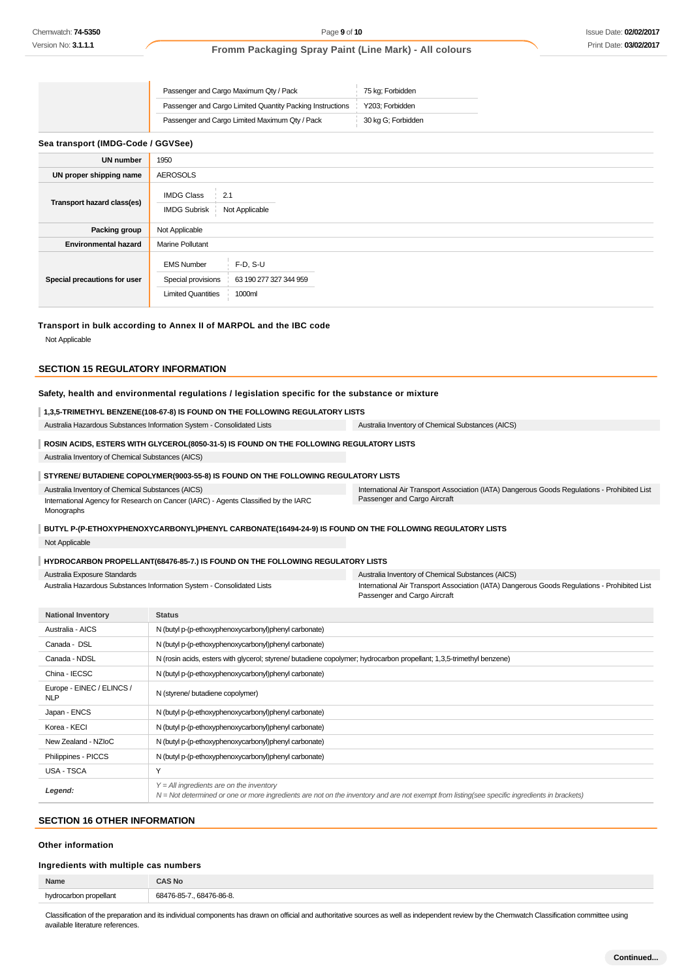| Passenger and Cargo Maximum Qty / Pack                    | 75 kg; Forbidden   |
|-----------------------------------------------------------|--------------------|
| Passenger and Cargo Limited Quantity Packing Instructions | Y203: Forbidden    |
| Passenger and Cargo Limited Maximum Qty / Pack            | 30 kg G; Forbidden |

#### **Sea transport (IMDG-Code / GGVSee)**

| <b>UN number</b>             | 1950                                                                 |                                                |
|------------------------------|----------------------------------------------------------------------|------------------------------------------------|
| UN proper shipping name      | <b>AEROSOLS</b>                                                      |                                                |
| Transport hazard class(es)   | <b>IMDG Class</b><br>2.1<br><b>IMDG Subrisk</b>                      | Not Applicable                                 |
| <b>Packing group</b>         | Not Applicable                                                       |                                                |
| <b>Environmental hazard</b>  | <b>Marine Pollutant</b>                                              |                                                |
| Special precautions for user | <b>EMS Number</b><br>Special provisions<br><b>Limited Quantities</b> | $F-D, S-U$<br>63 190 277 327 344 959<br>1000ml |

#### **Transport in bulk according to Annex II of MARPOL and the IBC code**

Not Applicable

#### **SECTION 15 REGULATORY INFORMATION**

# **Safety, health and environmental regulations / legislation specific for the substance or mixture**

## **1,3,5-TRIMETHYL BENZENE(108-67-8) IS FOUND ON THE FOLLOWING REGULATORY LISTS**

Australia Hazardous Substances Information System - Consolidated Lists Australia Inventory of Chemical Substances (AICS)

#### **ROSIN ACIDS, ESTERS WITH GLYCEROL(8050-31-5) IS FOUND ON THE FOLLOWING REGULATORY LISTS**

Australia Inventory of Chemical Substances (AICS)

#### **STYRENE/ BUTADIENE COPOLYMER(9003-55-8) IS FOUND ON THE FOLLOWING REGULATORY LISTS**

Australia Inventory of Chemical Substances (AICS) International Agency for Research on Cancer (IARC) - Agents Classified by the IARC Monographs

International Air Transport Association (IATA) Dangerous Goods Regulations - Prohibited List Passenger and Cargo Aircraft

#### **BUTYL P-(P-ETHOXYPHENOXYCARBONYL)PHENYL CARBONATE(16494-24-9) IS FOUND ON THE FOLLOWING REGULATORY LISTS**

Not Applicable

#### **HYDROCARBON PROPELLANT(68476-85-7.) IS FOUND ON THE FOLLOWING REGULATORY LISTS**

| Australia Exposure Standards                                           | Australia Inventory of Chemical Substances (AICS)                                            |
|------------------------------------------------------------------------|----------------------------------------------------------------------------------------------|
| Australia Hazardous Substances Information System - Consolidated Lists | International Air Transport Association (IATA) Dangerous Goods Regulations - Prohibited List |
|                                                                        | Passenger and Cargo Aircraft                                                                 |

| <b>National Inventory</b>               | <b>Status</b>                                                                                                                                                                              |
|-----------------------------------------|--------------------------------------------------------------------------------------------------------------------------------------------------------------------------------------------|
| Australia - AICS                        | N (butyl p-(p-ethoxyphenoxycarbonyl)phenyl carbonate)                                                                                                                                      |
| Canada - DSL                            | N (butyl p-(p-ethoxyphenoxycarbonyl)phenyl carbonate)                                                                                                                                      |
| Canada - NDSL                           | N (rosin acids, esters with glycerol; styrene/ butadiene copolymer; hydrocarbon propellant; 1,3,5-trimethyl benzene)                                                                       |
| China - IECSC                           | N (butyl p-(p-ethoxyphenoxycarbonyl)phenyl carbonate)                                                                                                                                      |
| Europe - EINEC / ELINCS /<br><b>NLP</b> | N (styrene/ butadiene copolymer)                                                                                                                                                           |
| Japan - ENCS                            | N (butyl p-(p-ethoxyphenoxycarbonyl)phenyl carbonate)                                                                                                                                      |
| Korea - KECI                            | N (butyl p-(p-ethoxyphenoxycarbonyl)phenyl carbonate)                                                                                                                                      |
| New Zealand - NZIoC                     | N (butyl p-(p-ethoxyphenoxycarbonyl)phenyl carbonate)                                                                                                                                      |
| Philippines - PICCS                     | N (butyl p-(p-ethoxyphenoxycarbonyl)phenyl carbonate)                                                                                                                                      |
| USA - TSCA                              | Y                                                                                                                                                                                          |
| Legend:                                 | $Y = All$ ingredients are on the inventory<br>N = Not determined or one or more ingredients are not on the inventory and are not exempt from listing(see specific ingredients in brackets) |

## **SECTION 16 OTHER INFORMATION**

## **Other information**

#### **Ingredients with multiple cas numbers**

| Name     | 3 No                      |
|----------|---------------------------|
| coellant | 68476-86-8<br>70 O.E<br>. |

Classification of the preparation and its individual components has drawn on official and authoritative sources as well as independent review by the Chemwatch Classification committee using available literature references.